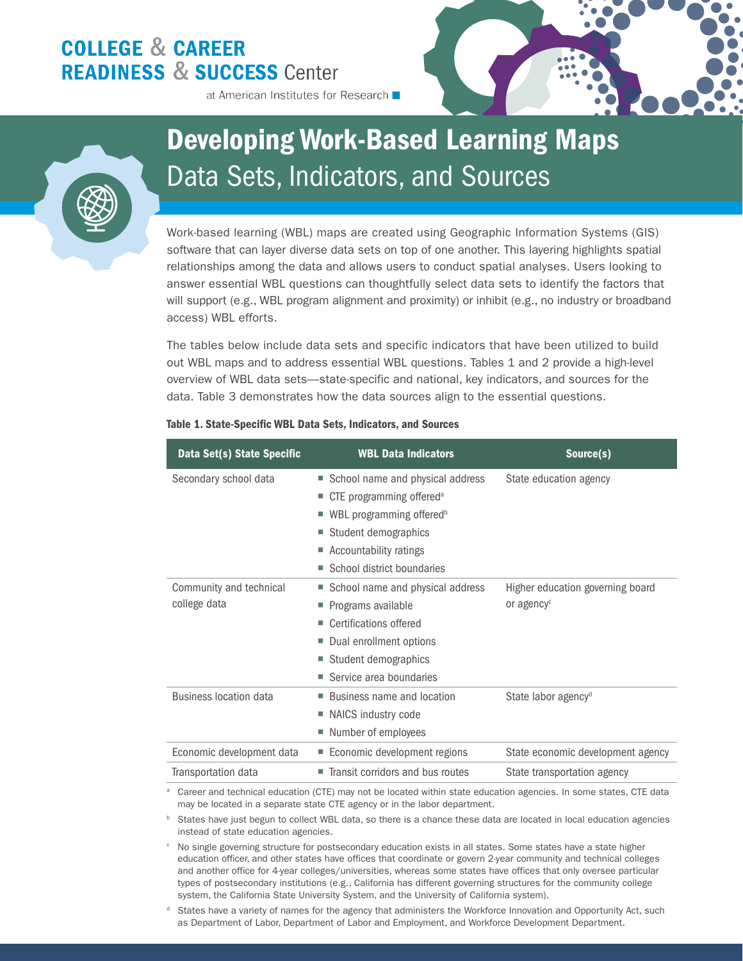## **COLLEGE & CAREER READINESS & SUCCESS Center**

at American Institutes for Research





# Developing Work-Based Learning Maps Data Sets, Indicators, and Sources

 relationships among the data and allows users to conduct spatial analyses. Users looking to answer essential WBL questions can thoughtfully select data sets to identify the factors that Work-based learning (WBL) maps are created using Geographic Information Systems (GIS) software that can layer diverse data sets on top of one another. This layering highlights spatial will support (e.g., WBL program alignment and proximity) or inhibit (e.g., no industry or broadband access) WBL efforts.

The tables below include data sets and specific indicators that have been utilized to build out WBL maps and to address essential WBL questions. Tables 1 and 2 provide a high-level overview of WBL data sets—state-specific and national, key indicators, and sources for the data. Table 3 demonstrates how the data sources align to the essential questions.

| Data Set(s) State Specific              | <b>WBL Data Indicators</b>            | Source(s)                         |
|-----------------------------------------|---------------------------------------|-----------------------------------|
| Secondary school data                   | School name and physical address      | State education agency            |
|                                         | CTE programming offered <sup>a</sup>  |                                   |
|                                         | WBL programming offered <sup>b</sup>  |                                   |
|                                         | Student demographics<br>٠             |                                   |
|                                         | Accountability ratings<br>ш           |                                   |
|                                         | School district boundaries            |                                   |
| Community and technical<br>college data | School name and physical address<br>ш | Higher education governing board  |
|                                         | Programs available                    | or agency <sup>c</sup>            |
|                                         | Certifications offered                |                                   |
|                                         | Dual enrollment options               |                                   |
|                                         | Student demographics                  |                                   |
|                                         | Service area boundaries               |                                   |
| <b>Business location data</b>           | Business name and location            | State labor agency <sup>d</sup>   |
|                                         | NAICS industry code                   |                                   |
|                                         | Number of employees                   |                                   |
| Economic development data               | Economic development regions          | State economic development agency |
| Transportation data                     | ■ Transit corridors and bus routes    | State transportation agency       |

#### Table 1. State-Specific WBL Data Sets, Indicators, and Sources

<sup>a</sup> Career and technical education (CTE) may not be located within state education agencies. In some states, CTE data may be located in a separate state CTE agency or in the labor department.

**b** States have just begun to collect WBL data, so there is a chance these data are located in local education agencies instead of state education agencies.

 education officer, and other states have offices that coordinate or govern 2-year community and technical colleges <sup>c</sup> No single governing structure for postsecondary education exists in all states. Some states have a state higher and another office for 4-year colleges/universities, whereas some states have offices that only oversee particular types of postsecondary institutions (e.g., California has different governing structures for the community college system, the California State University System, and the University of California system).

States have a variety of names for the agency that administers the Workforce Innovation and Opportunity Act, such as Department of Labor, Department of Labor and Employment, and Workforce Development Department.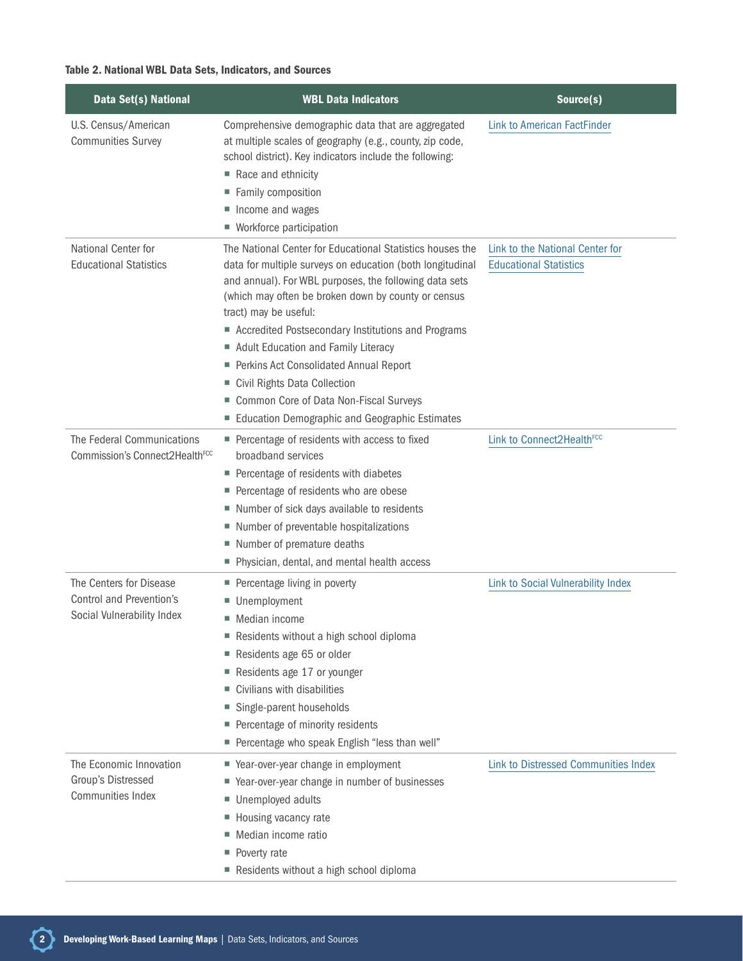### Table 2. National WBL Data Sets, Indicators, and Sources

| Data Set(s) National                                                                     | <b>WBL Data Indicators</b>                                                                                                                                                                                                                                                                                                                                                                                                                                                                                                                                | Source(s)                                                        |
|------------------------------------------------------------------------------------------|-----------------------------------------------------------------------------------------------------------------------------------------------------------------------------------------------------------------------------------------------------------------------------------------------------------------------------------------------------------------------------------------------------------------------------------------------------------------------------------------------------------------------------------------------------------|------------------------------------------------------------------|
| U.S. Census/American<br><b>Communities Survey</b>                                        | Comprehensive demographic data that are aggregated<br>at multiple scales of geography (e.g., county, zip code,<br>school district). Key indicators include the following:<br>Race and ethnicity<br>Family composition<br>ш<br>Income and wages<br>ш<br>Workforce participation<br>ш                                                                                                                                                                                                                                                                       | <b>Link to American FactFinder</b>                               |
| National Center for<br><b>Educational Statistics</b>                                     | The National Center for Educational Statistics houses the<br>data for multiple surveys on education (both longitudinal<br>and annual). For WBL purposes, the following data sets<br>(which may often be broken down by county or census<br>tract) may be useful:<br>■ Accredited Postsecondary Institutions and Programs<br>Adult Education and Family Literacy<br>Perkins Act Consolidated Annual Report<br>ш<br>Civil Rights Data Collection<br>ш<br>Common Core of Data Non-Fiscal Surveys<br>ш<br>Education Demographic and Geographic Estimates<br>ш | Link to the National Center for<br><b>Educational Statistics</b> |
| The Federal Communications<br>Commission's Connect2Health <sup>FCC</sup>                 | Percentage of residents with access to fixed<br>broadband services<br>Percentage of residents with diabetes<br>ш<br>Percentage of residents who are obese<br>ш<br>■ Number of sick days available to residents<br>Number of preventable hospitalizations<br>ш<br>Number of premature deaths<br>ш<br>Physician, dental, and mental health access<br>ш                                                                                                                                                                                                      | Link to Connect2Health <sup>FCC</sup>                            |
| The Centers for Disease<br><b>Control and Prevention's</b><br>Social Vulnerability Index | Percentage living in poverty<br>ш<br>Unemployment<br>ш<br>Median income<br>u.<br>Residents without a high school diploma<br>Residents age 65 or older<br>ш<br>Residents age 17 or younger<br>ш<br>Civilians with disabilities<br>ш<br>Single-parent households<br>ш<br>Percentage of minority residents<br>ш<br>Percentage who speak English "less than well"<br>ш                                                                                                                                                                                        | Link to Social Vulnerability Index                               |
| The Economic Innovation<br>Group's Distressed<br><b>Communities Index</b>                | ■ Year-over-year change in employment<br>Year-over-year change in number of businesses<br>ш<br>Unemployed adults<br>ш<br>Housing vacancy rate<br>ш<br>Median income ratio<br>ш<br>Poverty rate<br>ш<br>Residents without a high school diploma                                                                                                                                                                                                                                                                                                            | Link to Distressed Communities Index                             |